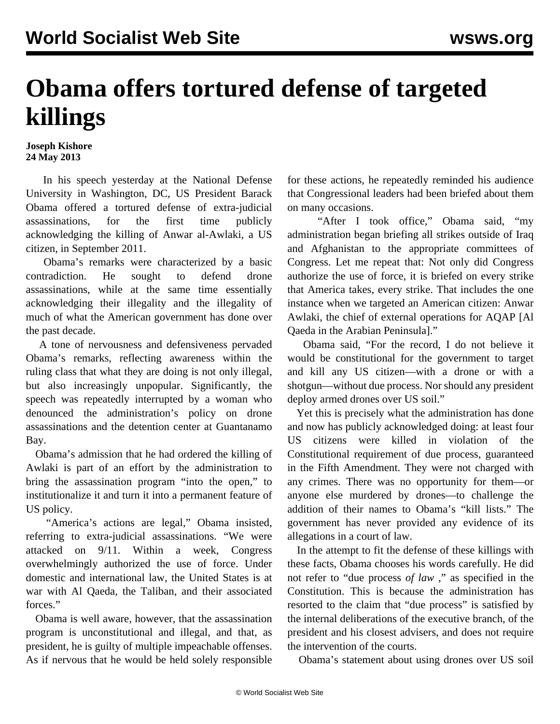## **Obama offers tortured defense of targeted killings**

## **Joseph Kishore 24 May 2013**

 In his speech yesterday at the National Defense University in Washington, DC, US President Barack Obama offered a tortured defense of extra-judicial assassinations, for the first time publicly acknowledging the killing of Anwar al-Awlaki, a US citizen, in September 2011.

 Obama's remarks were characterized by a basic contradiction. He sought to defend drone assassinations, while at the same time essentially acknowledging their illegality and the illegality of much of what the American government has done over the past decade.

 A tone of nervousness and defensiveness pervaded Obama's remarks, reflecting awareness within the ruling class that what they are doing is not only illegal, but also increasingly unpopular. Significantly, the speech was repeatedly interrupted by a woman who denounced the administration's policy on drone assassinations and the detention center at Guantanamo Bay.

 Obama's admission that he had ordered the killing of Awlaki is part of an effort by the administration to bring the assassination program "into the open," to institutionalize it and turn it into a permanent feature of US policy.

 "America's actions are legal," Obama insisted, referring to extra-judicial assassinations. "We were attacked on 9/11. Within a week, Congress overwhelmingly authorized the use of force. Under domestic and international law, the United States is at war with Al Qaeda, the Taliban, and their associated forces."

 Obama is well aware, however, that the assassination program is unconstitutional and illegal, and that, as president, he is guilty of multiple impeachable offenses. As if nervous that he would be held solely responsible for these actions, he repeatedly reminded his audience that Congressional leaders had been briefed about them on many occasions.

 "After I took office," Obama said, "my administration began briefing all strikes outside of Iraq and Afghanistan to the appropriate committees of Congress. Let me repeat that: Not only did Congress authorize the use of force, it is briefed on every strike that America takes, every strike. That includes the one instance when we targeted an American citizen: Anwar Awlaki, the chief of external operations for AQAP [Al Qaeda in the Arabian Peninsula]."

 Obama said, "For the record, I do not believe it would be constitutional for the government to target and kill any US citizen—with a drone or with a shotgun—without due process. Nor should any president deploy armed drones over US soil."

 Yet this is precisely what the administration has done and now has publicly acknowledged doing: at least four US citizens were killed in violation of the Constitutional requirement of due process, guaranteed in the Fifth Amendment. They were not charged with any crimes. There was no opportunity for them—or anyone else murdered by drones—to challenge the addition of their names to Obama's "kill lists." The government has never provided any evidence of its allegations in a court of law.

 In the attempt to fit the defense of these killings with these facts, Obama chooses his words carefully. He did not refer to "due process *of law* ," as specified in the Constitution. This is because the administration has resorted to the claim that "due process" is satisfied by the internal deliberations of the executive branch, of the president and his closest advisers, and does not require the intervention of the courts.

Obama's statement about using drones over US soil